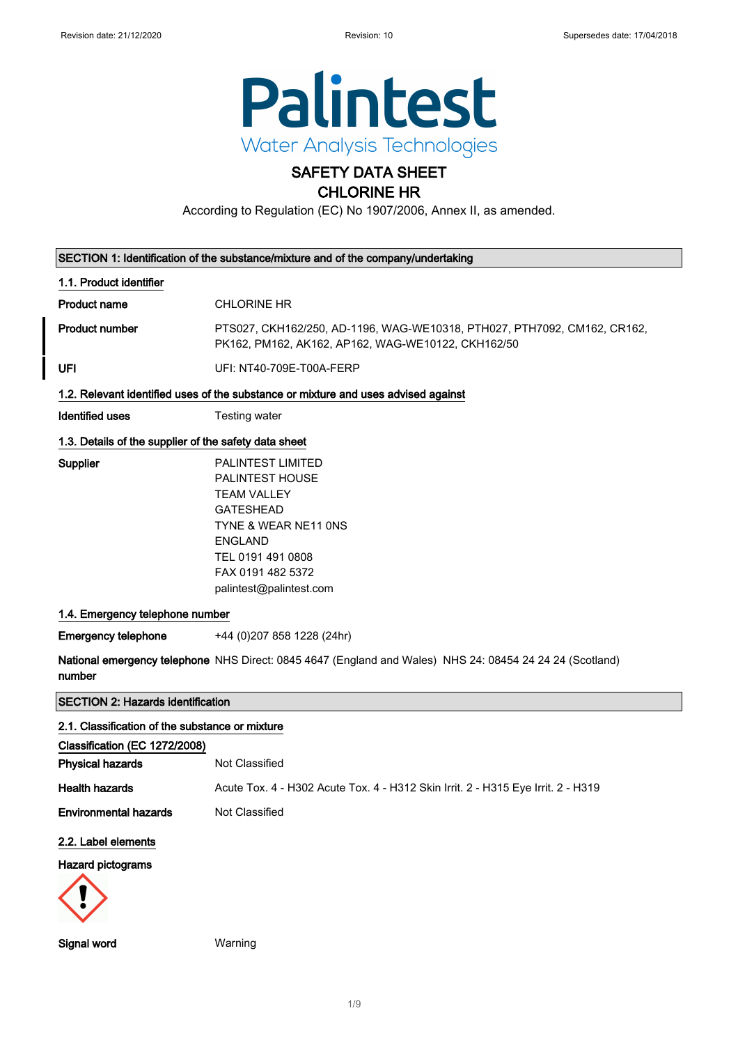

# SAFETY DATA SHEET

## CHLORINE HR

According to Regulation (EC) No 1907/2006, Annex II, as amended.

|                                                       | SECTION 1: Identification of the substance/mixture and of the company/undertaking                                                                                                                    |
|-------------------------------------------------------|------------------------------------------------------------------------------------------------------------------------------------------------------------------------------------------------------|
| 1.1. Product identifier                               |                                                                                                                                                                                                      |
| <b>Product name</b>                                   | <b>CHLORINE HR</b>                                                                                                                                                                                   |
| <b>Product number</b>                                 | PTS027, CKH162/250, AD-1196, WAG-WE10318, PTH027, PTH7092, CM162, CR162,<br>PK162, PM162, AK162, AP162, WAG-WE10122, CKH162/50                                                                       |
| UFI                                                   | UFI: NT40-709E-T00A-FERP                                                                                                                                                                             |
|                                                       | 1.2. Relevant identified uses of the substance or mixture and uses advised against                                                                                                                   |
| <b>Identified uses</b>                                | <b>Testing water</b>                                                                                                                                                                                 |
| 1.3. Details of the supplier of the safety data sheet |                                                                                                                                                                                                      |
| Supplier                                              | <b>PALINTEST LIMITED</b><br>PALINTEST HOUSE<br><b>TEAM VALLEY</b><br><b>GATESHEAD</b><br>TYNE & WEAR NE11 ONS<br><b>ENGLAND</b><br>TEL 0191 491 0808<br>FAX 0191 482 5372<br>palintest@palintest.com |
| 1.4. Emergency telephone number                       |                                                                                                                                                                                                      |
| <b>Emergency telephone</b>                            | +44 (0) 207 858 1228 (24hr)                                                                                                                                                                          |
| number                                                | National emergency telephone NHS Direct: 0845 4647 (England and Wales) NHS 24: 08454 24 24 24 (Scotland)                                                                                             |
| <b>SECTION 2: Hazards identification</b>              |                                                                                                                                                                                                      |
| 2.1. Classification of the substance or mixture       |                                                                                                                                                                                                      |
| Classification (EC 1272/2008)                         |                                                                                                                                                                                                      |
| <b>Physical hazards</b>                               | Not Classified                                                                                                                                                                                       |
| <b>Health hazards</b>                                 | Acute Tox. 4 - H302 Acute Tox. 4 - H312 Skin Irrit. 2 - H315 Eye Irrit. 2 - H319                                                                                                                     |
| <b>Environmental hazards</b>                          | Not Classified                                                                                                                                                                                       |
| 2.2. Label elements                                   |                                                                                                                                                                                                      |
| <b>Hazard pictograms</b>                              |                                                                                                                                                                                                      |
|                                                       |                                                                                                                                                                                                      |
| Signal word                                           | Warning                                                                                                                                                                                              |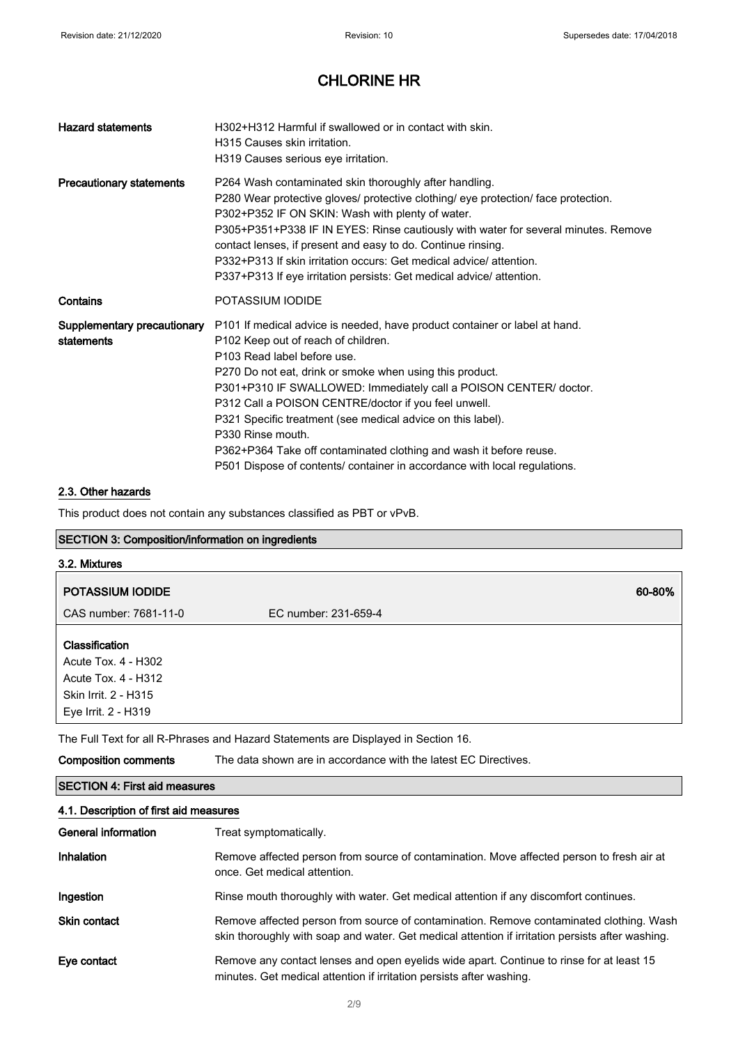| <b>Hazard statements</b>                  | H302+H312 Harmful if swallowed or in contact with skin.<br>H315 Causes skin irritation.<br>H319 Causes serious eye irritation.                                                                                                                                                                                                                                                                                                                                                                                                                                                               |
|-------------------------------------------|----------------------------------------------------------------------------------------------------------------------------------------------------------------------------------------------------------------------------------------------------------------------------------------------------------------------------------------------------------------------------------------------------------------------------------------------------------------------------------------------------------------------------------------------------------------------------------------------|
| <b>Precautionary statements</b>           | P264 Wash contaminated skin thoroughly after handling.<br>P280 Wear protective gloves/ protective clothing/ eye protection/ face protection.<br>P302+P352 IF ON SKIN: Wash with plenty of water.<br>P305+P351+P338 IF IN EYES: Rinse cautiously with water for several minutes. Remove<br>contact lenses, if present and easy to do. Continue rinsing.<br>P332+P313 If skin irritation occurs: Get medical advice/attention.<br>P337+P313 If eye irritation persists: Get medical advice/attention.                                                                                          |
| Contains                                  | POTASSIUM IODIDE                                                                                                                                                                                                                                                                                                                                                                                                                                                                                                                                                                             |
| Supplementary precautionary<br>statements | P101 If medical advice is needed, have product container or label at hand.<br>P <sub>102</sub> Keep out of reach of children.<br>P103 Read label before use.<br>P270 Do not eat, drink or smoke when using this product.<br>P301+P310 IF SWALLOWED: Immediately call a POISON CENTER/ doctor.<br>P312 Call a POISON CENTRE/doctor if you feel unwell.<br>P321 Specific treatment (see medical advice on this label).<br>P330 Rinse mouth.<br>P362+P364 Take off contaminated clothing and wash it before reuse.<br>P501 Dispose of contents/ container in accordance with local regulations. |

#### 2.3. Other hazards

This product does not contain any substances classified as PBT or vPvB.

#### SECTION 3: Composition/information on ingredients

| 3.2. Mixtures                                                                                               |                      |        |
|-------------------------------------------------------------------------------------------------------------|----------------------|--------|
| POTASSIUM IODIDE                                                                                            |                      | 60-80% |
| CAS number: 7681-11-0                                                                                       | EC number: 231-659-4 |        |
| Classification<br>Acute Tox. 4 - H302<br>Acute Tox. 4 - H312<br>Skin Irrit. 2 - H315<br>Eye Irrit. 2 - H319 |                      |        |

The Full Text for all R-Phrases and Hazard Statements are Displayed in Section 16.

| Composition comments | The data shown are in accordance with the latest EC Directives. |  |
|----------------------|-----------------------------------------------------------------|--|
|                      |                                                                 |  |

## SECTION 4: First aid measures

| 4.1. Description of first aid measures |                                                                                                                                                                                             |  |
|----------------------------------------|---------------------------------------------------------------------------------------------------------------------------------------------------------------------------------------------|--|
| General information                    | Treat symptomatically.                                                                                                                                                                      |  |
| Inhalation                             | Remove affected person from source of contamination. Move affected person to fresh air at<br>once. Get medical attention.                                                                   |  |
| Ingestion                              | Rinse mouth thoroughly with water. Get medical attention if any discomfort continues.                                                                                                       |  |
| <b>Skin contact</b>                    | Remove affected person from source of contamination. Remove contaminated clothing. Wash<br>skin thoroughly with soap and water. Get medical attention if irritation persists after washing. |  |
| Eye contact                            | Remove any contact lenses and open eyelids wide apart. Continue to rinse for at least 15<br>minutes. Get medical attention if irritation persists after washing.                            |  |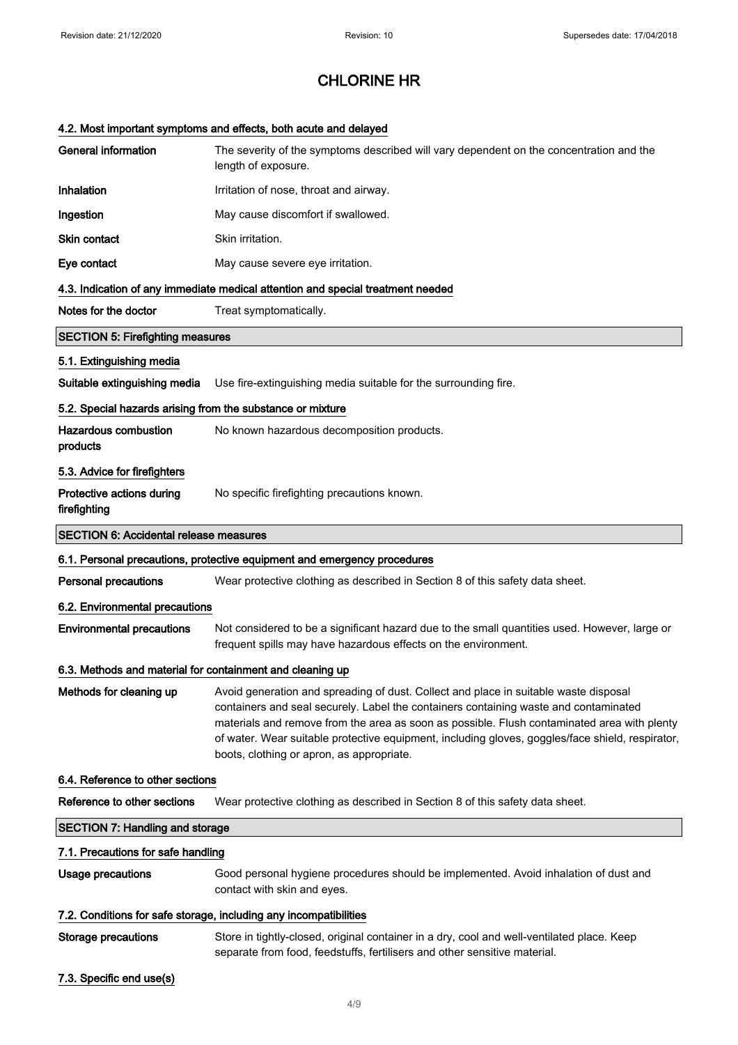## 4.2. Most important symptoms and effects, both acute and delayed

| <b>General information</b>                                 | The severity of the symptoms described will vary dependent on the concentration and the<br>length of exposure.                                                                                                                                                                                                                                                                                                               |
|------------------------------------------------------------|------------------------------------------------------------------------------------------------------------------------------------------------------------------------------------------------------------------------------------------------------------------------------------------------------------------------------------------------------------------------------------------------------------------------------|
| Inhalation                                                 | Irritation of nose, throat and airway.                                                                                                                                                                                                                                                                                                                                                                                       |
| Ingestion                                                  | May cause discomfort if swallowed.                                                                                                                                                                                                                                                                                                                                                                                           |
| Skin contact                                               | Skin irritation.                                                                                                                                                                                                                                                                                                                                                                                                             |
| Eye contact                                                | May cause severe eye irritation.                                                                                                                                                                                                                                                                                                                                                                                             |
|                                                            | 4.3. Indication of any immediate medical attention and special treatment needed                                                                                                                                                                                                                                                                                                                                              |
| Notes for the doctor                                       | Treat symptomatically.                                                                                                                                                                                                                                                                                                                                                                                                       |
| <b>SECTION 5: Firefighting measures</b>                    |                                                                                                                                                                                                                                                                                                                                                                                                                              |
| 5.1. Extinguishing media                                   |                                                                                                                                                                                                                                                                                                                                                                                                                              |
| Suitable extinguishing media                               | Use fire-extinguishing media suitable for the surrounding fire.                                                                                                                                                                                                                                                                                                                                                              |
| 5.2. Special hazards arising from the substance or mixture |                                                                                                                                                                                                                                                                                                                                                                                                                              |
| <b>Hazardous combustion</b><br>products                    | No known hazardous decomposition products.                                                                                                                                                                                                                                                                                                                                                                                   |
| 5.3. Advice for firefighters                               |                                                                                                                                                                                                                                                                                                                                                                                                                              |
| Protective actions during<br>firefighting                  | No specific firefighting precautions known.                                                                                                                                                                                                                                                                                                                                                                                  |
| <b>SECTION 6: Accidental release measures</b>              |                                                                                                                                                                                                                                                                                                                                                                                                                              |
|                                                            | 6.1. Personal precautions, protective equipment and emergency procedures                                                                                                                                                                                                                                                                                                                                                     |
| <b>Personal precautions</b>                                | Wear protective clothing as described in Section 8 of this safety data sheet.                                                                                                                                                                                                                                                                                                                                                |
| 6.2. Environmental precautions                             |                                                                                                                                                                                                                                                                                                                                                                                                                              |
| <b>Environmental precautions</b>                           | Not considered to be a significant hazard due to the small quantities used. However, large or<br>frequent spills may have hazardous effects on the environment.                                                                                                                                                                                                                                                              |
| 6.3. Methods and material for containment and cleaning up  |                                                                                                                                                                                                                                                                                                                                                                                                                              |
| Methods for cleaning up                                    | Avoid generation and spreading of dust. Collect and place in suitable waste disposal<br>containers and seal securely. Label the containers containing waste and contaminated<br>materials and remove from the area as soon as possible. Flush contaminated area with plenty<br>of water. Wear suitable protective equipment, including gloves, goggles/face shield, respirator,<br>boots, clothing or apron, as appropriate. |
| 6.4. Reference to other sections                           |                                                                                                                                                                                                                                                                                                                                                                                                                              |
| Reference to other sections                                | Wear protective clothing as described in Section 8 of this safety data sheet.                                                                                                                                                                                                                                                                                                                                                |
| <b>SECTION 7: Handling and storage</b>                     |                                                                                                                                                                                                                                                                                                                                                                                                                              |
| 7.1. Precautions for safe handling                         |                                                                                                                                                                                                                                                                                                                                                                                                                              |
| <b>Usage precautions</b>                                   | Good personal hygiene procedures should be implemented. Avoid inhalation of dust and<br>contact with skin and eyes.                                                                                                                                                                                                                                                                                                          |
|                                                            | 7.2. Conditions for safe storage, including any incompatibilities                                                                                                                                                                                                                                                                                                                                                            |
| <b>Storage precautions</b>                                 | Store in tightly-closed, original container in a dry, cool and well-ventilated place. Keep<br>separate from food, feedstuffs, fertilisers and other sensitive material.                                                                                                                                                                                                                                                      |
| 7.3. Specific end use(s)                                   |                                                                                                                                                                                                                                                                                                                                                                                                                              |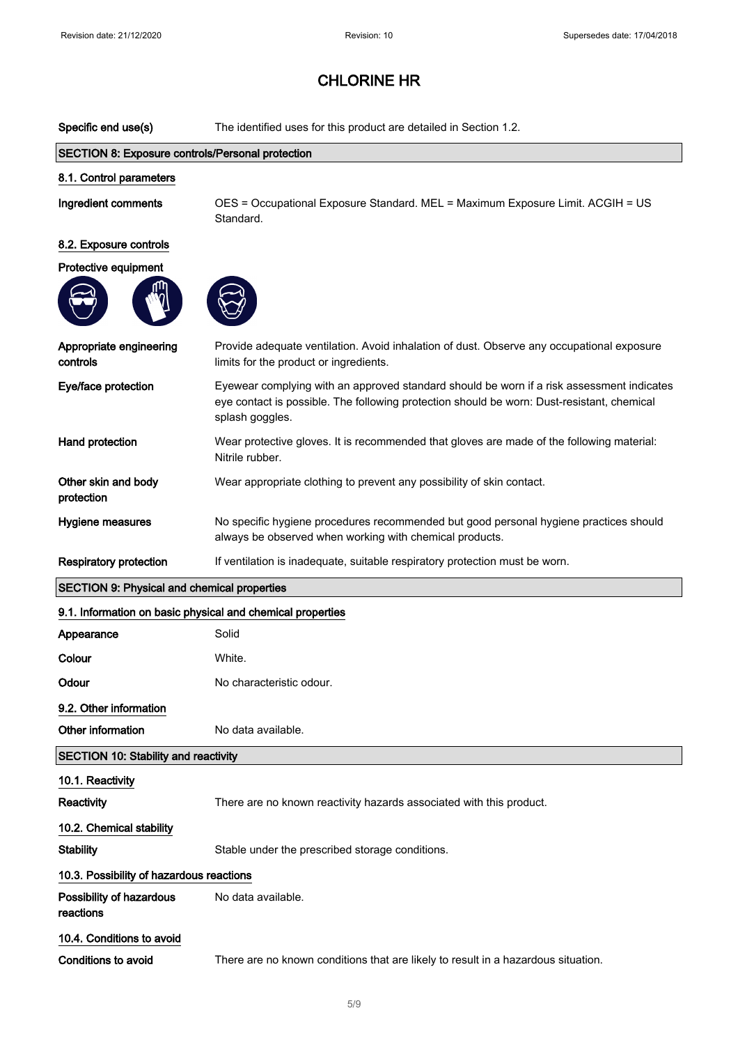| Specific end use(s)                                                               | The identified uses for this product are detailed in Section 1.2.                                                                                                                                          |
|-----------------------------------------------------------------------------------|------------------------------------------------------------------------------------------------------------------------------------------------------------------------------------------------------------|
| <b>SECTION 8: Exposure controls/Personal protection</b>                           |                                                                                                                                                                                                            |
| 8.1. Control parameters                                                           |                                                                                                                                                                                                            |
| Ingredient comments                                                               | OES = Occupational Exposure Standard. MEL = Maximum Exposure Limit. ACGIH = US<br>Standard.                                                                                                                |
| 8.2. Exposure controls                                                            |                                                                                                                                                                                                            |
| Protective equipment                                                              |                                                                                                                                                                                                            |
|                                                                                   |                                                                                                                                                                                                            |
| Appropriate engineering<br>controls                                               | Provide adequate ventilation. Avoid inhalation of dust. Observe any occupational exposure<br>limits for the product or ingredients.                                                                        |
| Eye/face protection                                                               | Eyewear complying with an approved standard should be worn if a risk assessment indicates<br>eye contact is possible. The following protection should be worn: Dust-resistant, chemical<br>splash goggles. |
| Hand protection                                                                   | Wear protective gloves. It is recommended that gloves are made of the following material:<br>Nitrile rubber.                                                                                               |
| Other skin and body<br>protection                                                 | Wear appropriate clothing to prevent any possibility of skin contact.                                                                                                                                      |
| Hygiene measures                                                                  | No specific hygiene procedures recommended but good personal hygiene practices should<br>always be observed when working with chemical products.                                                           |
| <b>Respiratory protection</b>                                                     | If ventilation is inadequate, suitable respiratory protection must be worn.                                                                                                                                |
| <b>SECTION 9: Physical and chemical properties</b>                                |                                                                                                                                                                                                            |
| 9.1. Information on basic physical and chemical properties                        |                                                                                                                                                                                                            |
| Appearance                                                                        | Solid                                                                                                                                                                                                      |
|                                                                                   |                                                                                                                                                                                                            |
| Colour                                                                            | White.                                                                                                                                                                                                     |
| Odour                                                                             | No characteristic odour.                                                                                                                                                                                   |
| 9.2. Other information                                                            |                                                                                                                                                                                                            |
| Other information                                                                 | No data available.                                                                                                                                                                                         |
| <b>SECTION 10: Stability and reactivity</b>                                       |                                                                                                                                                                                                            |
| 10.1. Reactivity                                                                  |                                                                                                                                                                                                            |
| Reactivity                                                                        | There are no known reactivity hazards associated with this product.                                                                                                                                        |
|                                                                                   |                                                                                                                                                                                                            |
| 10.2. Chemical stability<br><b>Stability</b>                                      | Stable under the prescribed storage conditions.                                                                                                                                                            |
|                                                                                   |                                                                                                                                                                                                            |
| 10.3. Possibility of hazardous reactions<br>Possibility of hazardous<br>reactions | No data available.                                                                                                                                                                                         |
| 10.4. Conditions to avoid                                                         |                                                                                                                                                                                                            |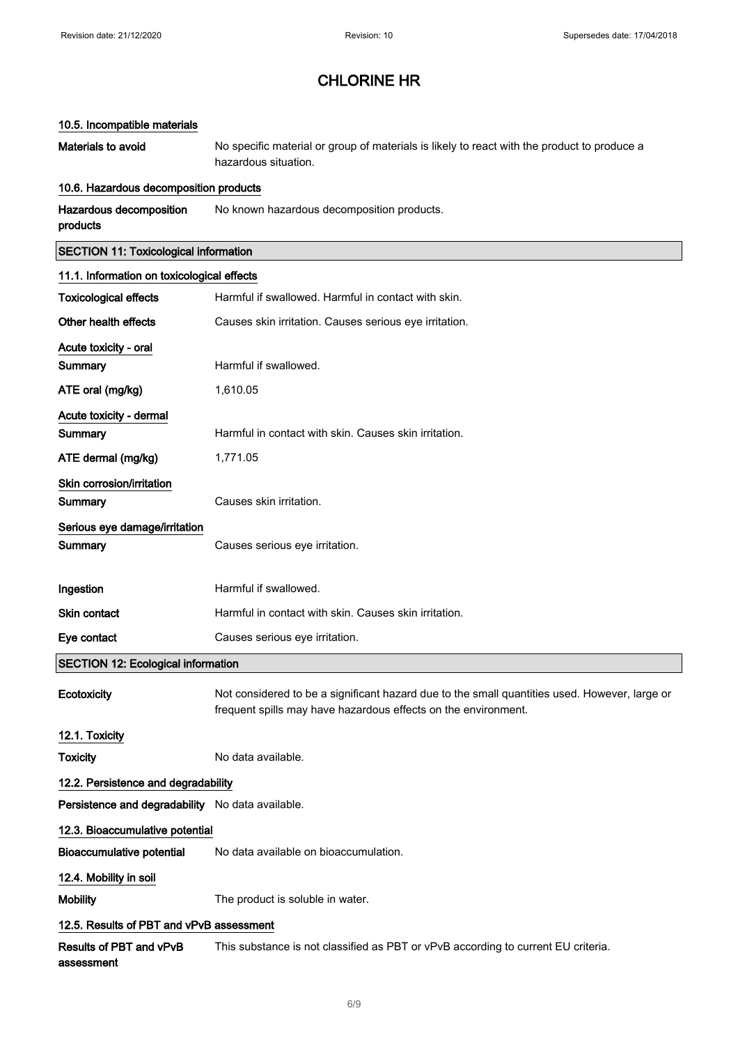### 10.5. Incompatible materials

Materials to avoid No specific material or group of materials is likely to react with the product to produce a hazardous situation.

#### 10.6. Hazardous decomposition products

| Hazardous decomposition | No known hazardous decomposition products. |
|-------------------------|--------------------------------------------|
| products                |                                            |

## SECTION 11: Toxicological information

| 11.1. Information on toxicological effects       |                                                                                                                                                                 |
|--------------------------------------------------|-----------------------------------------------------------------------------------------------------------------------------------------------------------------|
| <b>Toxicological effects</b>                     | Harmful if swallowed. Harmful in contact with skin.                                                                                                             |
| Other health effects                             | Causes skin irritation. Causes serious eye irritation.                                                                                                          |
| Acute toxicity - oral                            |                                                                                                                                                                 |
| Summary                                          | Harmful if swallowed.                                                                                                                                           |
| ATE oral (mg/kg)                                 | 1,610.05                                                                                                                                                        |
| Acute toxicity - dermal                          |                                                                                                                                                                 |
| <b>Summary</b>                                   | Harmful in contact with skin. Causes skin irritation.                                                                                                           |
| ATE dermal (mg/kg)                               | 1,771.05                                                                                                                                                        |
| Skin corrosion/irritation<br>Summary             | Causes skin irritation.                                                                                                                                         |
| Serious eye damage/irritation<br>Summary         | Causes serious eye irritation.                                                                                                                                  |
| Ingestion                                        | Harmful if swallowed.                                                                                                                                           |
| <b>Skin contact</b>                              | Harmful in contact with skin. Causes skin irritation.                                                                                                           |
| Eye contact                                      | Causes serious eye irritation.                                                                                                                                  |
| <b>SECTION 12: Ecological information</b>        |                                                                                                                                                                 |
| Ecotoxicity                                      | Not considered to be a significant hazard due to the small quantities used. However, large or<br>frequent spills may have hazardous effects on the environment. |
| 12.1. Toxicity                                   |                                                                                                                                                                 |
| <b>Toxicity</b>                                  | No data available.                                                                                                                                              |
| 12.2. Persistence and degradability              |                                                                                                                                                                 |
| Persistence and degradability No data available. |                                                                                                                                                                 |
| 12.3. Bioaccumulative potential                  |                                                                                                                                                                 |
| <b>Bioaccumulative potential</b>                 | No data available on bioaccumulation.                                                                                                                           |
| 12.4. Mobility in soil                           |                                                                                                                                                                 |
| <b>Mobility</b>                                  | The product is soluble in water.                                                                                                                                |
| 12.5. Results of PBT and vPvB assessment         |                                                                                                                                                                 |
| Results of PBT and vPvB<br>assessment            | This substance is not classified as PBT or vPvB according to current EU criteria.                                                                               |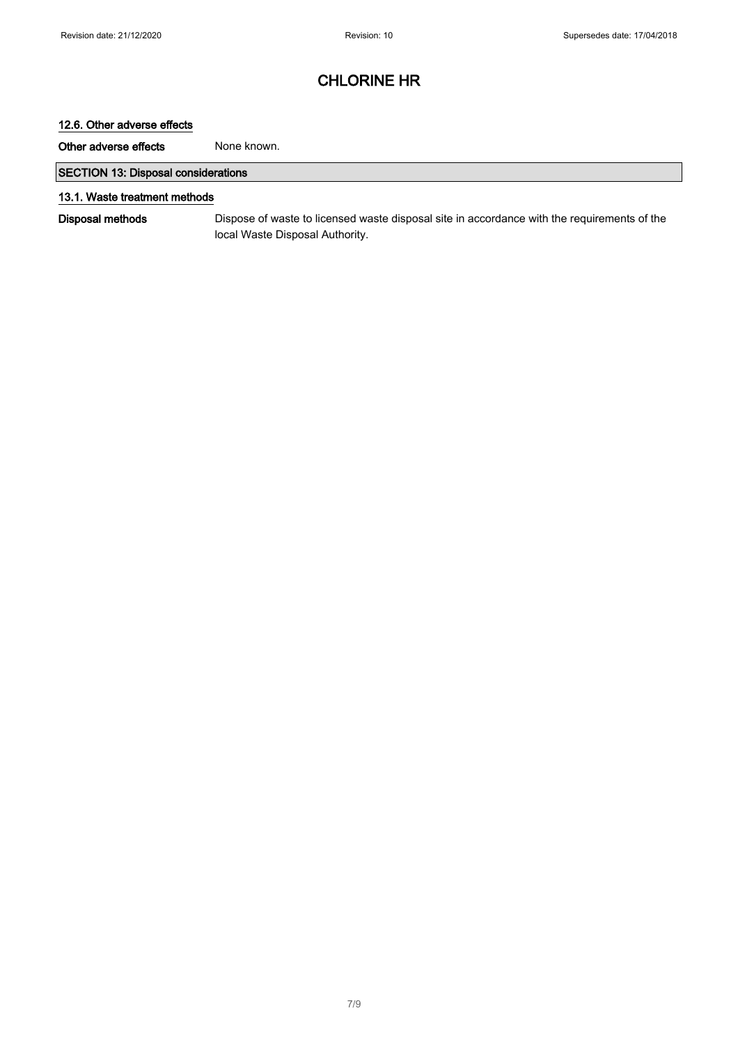### 12.6. Other adverse effects

Other adverse effects None known.

### SECTION 13: Disposal considerations

#### 13.1. Waste treatment methods

Disposal methods Dispose of waste to licensed waste disposal site in accordance with the requirements of the local Waste Disposal Authority.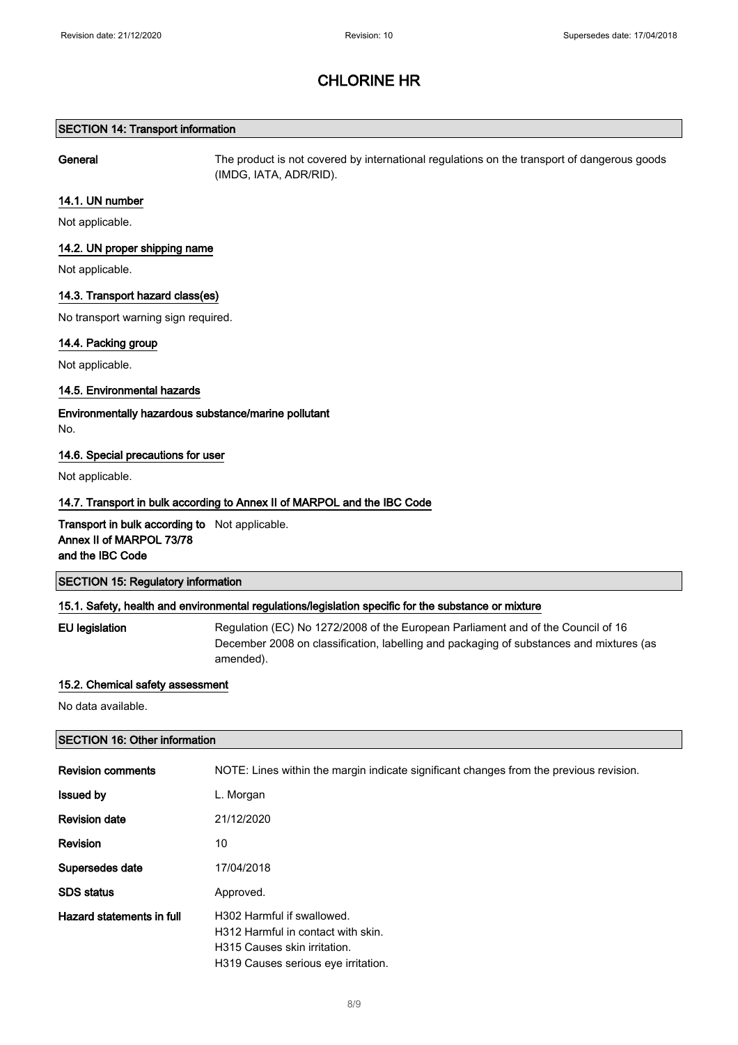#### SECTION 14: Transport information

General The product is not covered by international regulations on the transport of dangerous goods (IMDG, IATA, ADR/RID).

#### 14.1. UN number

Not applicable.

#### 14.2. UN proper shipping name

Not applicable.

#### 14.3. Transport hazard class(es)

No transport warning sign required.

#### 14.4. Packing group

Not applicable.

#### 14.5. Environmental hazards

Environmentally hazardous substance/marine pollutant

No.

#### 14.6. Special precautions for user

Not applicable.

#### 14.7. Transport in bulk according to Annex II of MARPOL and the IBC Code

**Transport in bulk according to** Not applicable. Annex II of MARPOL 73/78 and the IBC Code

#### SECTION 15: Regulatory information

#### 15.1. Safety, health and environmental regulations/legislation specific for the substance or mixture

EU legislation Regulation (EC) No 1272/2008 of the European Parliament and of the Council of 16 December 2008 on classification, labelling and packaging of substances and mixtures (as amended).

#### 15.2. Chemical safety assessment

No data available.

#### SECTION 16: Other information

| <b>Revision comments</b>  | NOTE: Lines within the margin indicate significant changes from the previous revision.                                                  |
|---------------------------|-----------------------------------------------------------------------------------------------------------------------------------------|
| <b>Issued by</b>          | L. Morgan                                                                                                                               |
| <b>Revision date</b>      | 21/12/2020                                                                                                                              |
| Revision                  | 10                                                                                                                                      |
| Supersedes date           | 17/04/2018                                                                                                                              |
| <b>SDS</b> status         | Approved.                                                                                                                               |
| Hazard statements in full | H302 Harmful if swallowed.<br>H312 Harmful in contact with skin.<br>H315 Causes skin irritation.<br>H319 Causes serious eve irritation. |